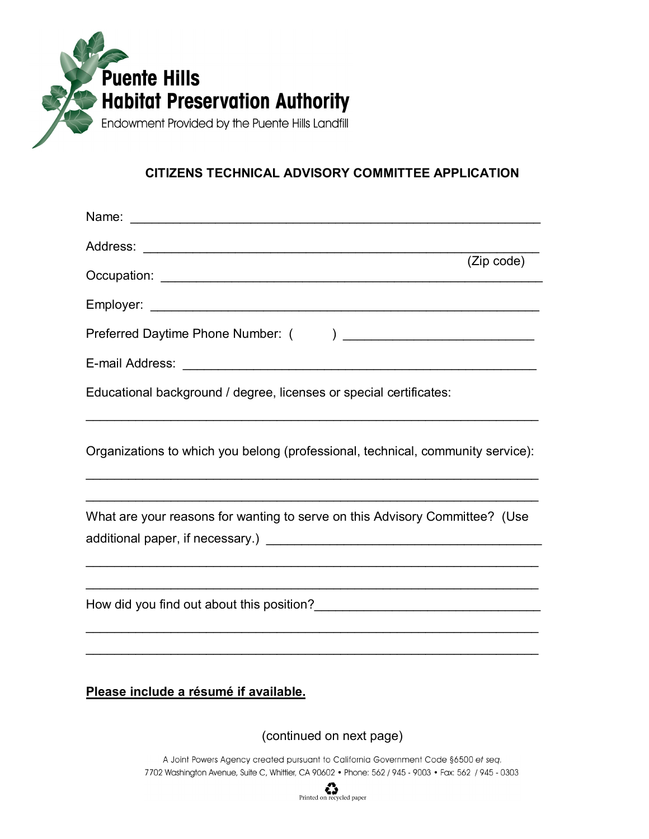

## **CITIZENS TECHNICAL ADVISORY COMMITTEE APPLICATION**

| (Zip code)                                                                                                                                      |
|-------------------------------------------------------------------------------------------------------------------------------------------------|
|                                                                                                                                                 |
| Preferred Daytime Phone Number: (                                                                                                               |
|                                                                                                                                                 |
| Educational background / degree, licenses or special certificates:                                                                              |
| Organizations to which you belong (professional, technical, community service):                                                                 |
| <u> 1989 - Johann Barbara, markazi bashkar mashrida ma'lumot</u><br>What are your reasons for wanting to serve on this Advisory Committee? (Use |
|                                                                                                                                                 |
| Please include a résumé if available.                                                                                                           |

(continued on next page)

A Joint Powers Agency created pursuant to California Government Code §6500 et seq. 7702 Washington Avenue, Suite C, Whittier, CA 90602 . Phone: 562 / 945 - 9003 . Fax: 562 / 945 - 0303